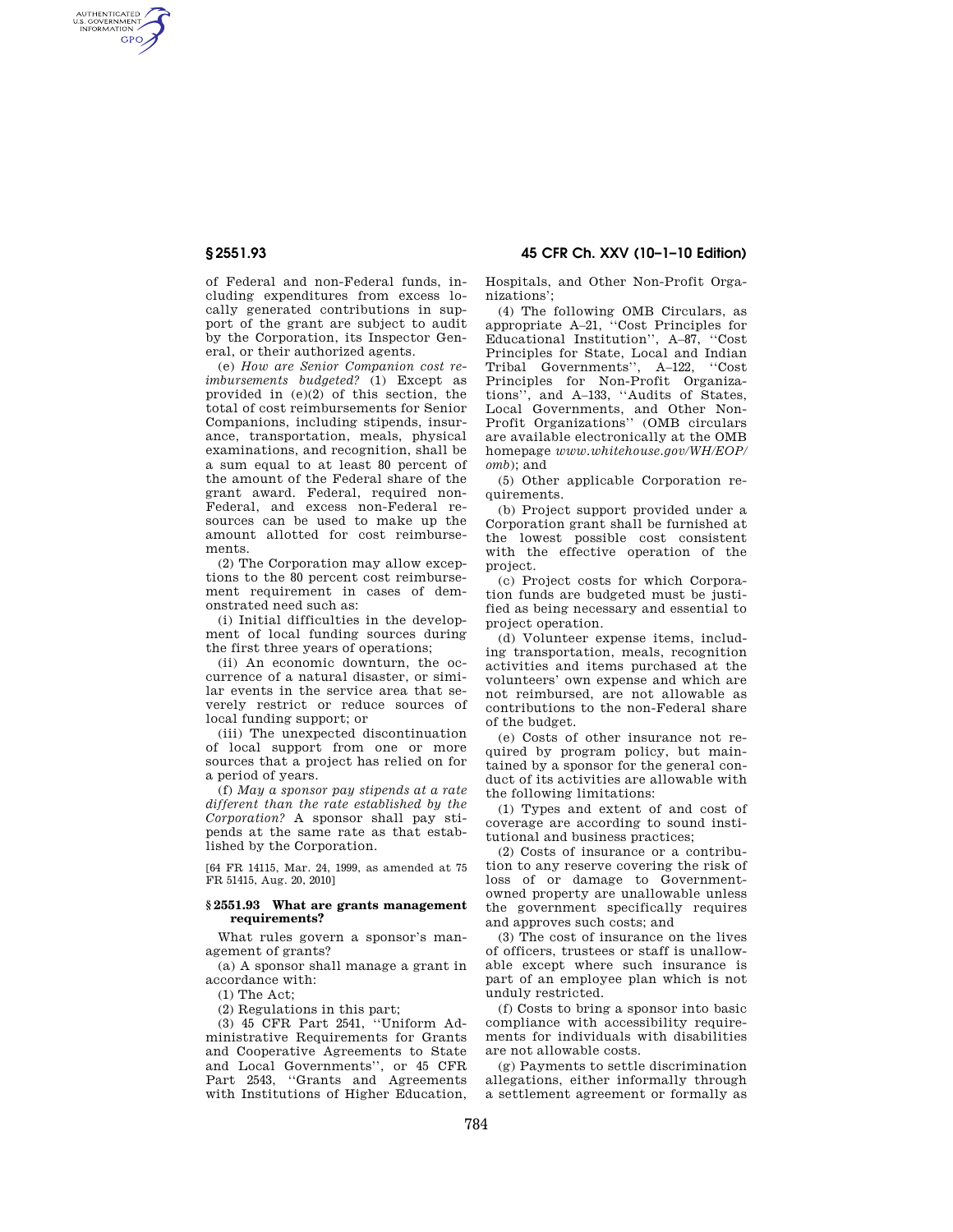AUTHENTICATED<br>U.S. GOVERNMENT<br>INFORMATION **GPO** 

**§ 2551.93 45 CFR Ch. XXV (10–1–10 Edition)** 

of Federal and non-Federal funds, including expenditures from excess locally generated contributions in support of the grant are subject to audit by the Corporation, its Inspector General, or their authorized agents.

(e) *How are Senior Companion cost reimbursements budgeted?* (1) Except as provided in (e)(2) of this section, the total of cost reimbursements for Senior Companions, including stipends, insurance, transportation, meals, physical examinations, and recognition, shall be a sum equal to at least 80 percent of the amount of the Federal share of the grant award. Federal, required non-Federal, and excess non-Federal resources can be used to make up the amount allotted for cost reimbursements.

(2) The Corporation may allow exceptions to the 80 percent cost reimbursement requirement in cases of demonstrated need such as:

(i) Initial difficulties in the development of local funding sources during the first three years of operations;

(ii) An economic downturn, the occurrence of a natural disaster, or similar events in the service area that severely restrict or reduce sources of local funding support; or

(iii) The unexpected discontinuation of local support from one or more sources that a project has relied on for a period of years.

(f) *May a sponsor pay stipends at a rate different than the rate established by the Corporation?* A sponsor shall pay stipends at the same rate as that established by the Corporation.

[64 FR 14115, Mar. 24, 1999, as amended at 75 FR 51415, Aug. 20, 2010]

## **§ 2551.93 What are grants management requirements?**

What rules govern a sponsor's management of grants?

(a) A sponsor shall manage a grant in accordance with:

(1) The Act;

(2) Regulations in this part;

(3) 45 CFR Part 2541, ''Uniform Administrative Requirements for Grants and Cooperative Agreements to State and Local Governments'', or 45 CFR Part 2543, ''Grants and Agreements with Institutions of Higher Education,

Hospitals, and Other Non-Profit Organizations';

(4) The following OMB Circulars, as appropriate A–21, ''Cost Principles for Educational Institution'', A–87, ''Cost Principles for State, Local and Indian Tribal Governments'', A–122, ''Cost Principles for Non-Profit Organizations'', and A–133, ''Audits of States, Local Governments, and Other Non-Profit Organizations'' (OMB circulars are available electronically at the OMB homepage *www.whitehouse.gov/WH/EOP/ omb*); and

(5) Other applicable Corporation requirements.

(b) Project support provided under a Corporation grant shall be furnished at the lowest possible cost consistent with the effective operation of the project.

(c) Project costs for which Corporation funds are budgeted must be justified as being necessary and essential to project operation.

(d) Volunteer expense items, including transportation, meals, recognition activities and items purchased at the volunteers' own expense and which are not reimbursed, are not allowable as contributions to the non-Federal share of the budget.

(e) Costs of other insurance not required by program policy, but maintained by a sponsor for the general conduct of its activities are allowable with the following limitations:

(1) Types and extent of and cost of coverage are according to sound institutional and business practices;

(2) Costs of insurance or a contribution to any reserve covering the risk of loss of or damage to Governmentowned property are unallowable unless the government specifically requires and approves such costs; and

(3) The cost of insurance on the lives of officers, trustees or staff is unallowable except where such insurance is part of an employee plan which is not unduly restricted.

(f) Costs to bring a sponsor into basic compliance with accessibility requirements for individuals with disabilities are not allowable costs.

(g) Payments to settle discrimination allegations, either informally through a settlement agreement or formally as